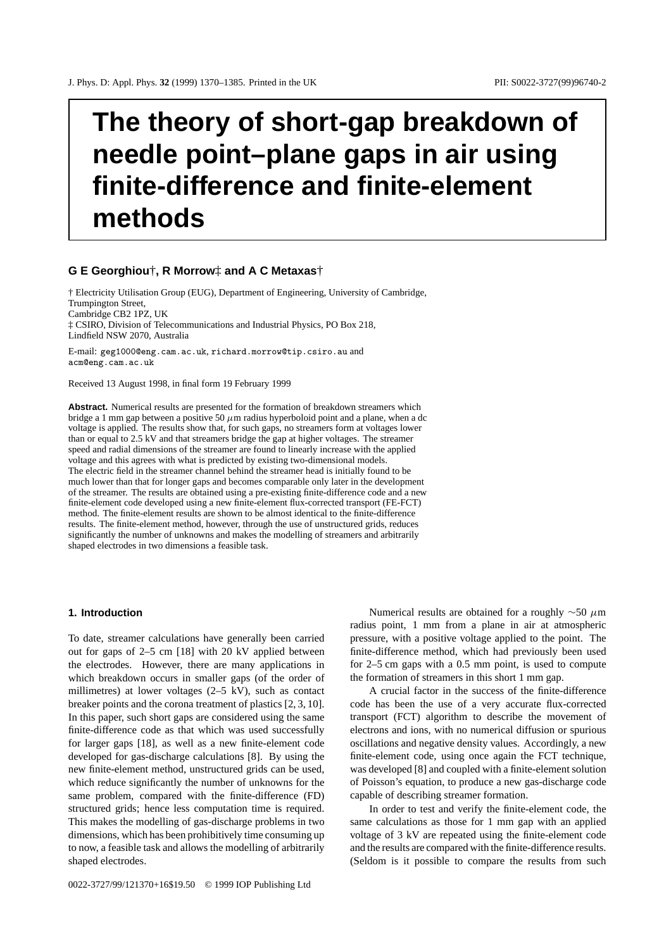# **The theory of short-gap breakdown of needle point–plane gaps in air using finite-difference and finite-element methods**

## **G E Georghiou**†**, R Morrow**‡ **and A C Metaxas**†

† Electricity Utilisation Group (EUG), Department of Engineering, University of Cambridge, Trumpington Street, Cambridge CB2 1PZ, UK ‡ CSIRO, Division of Telecommunications and Industrial Physics, PO Box 218, Lindfield NSW 2070, Australia

E-mail: geg1000@eng.cam.ac.uk, richard.morrow@tip.csiro.au and acm@eng.cam.ac.uk

Received 13 August 1998, in final form 19 February 1999

**Abstract.** Numerical results are presented for the formation of breakdown streamers which bridge a 1 mm gap between a positive 50 *µ*m radius hyperboloid point and a plane, when a dc voltage is applied. The results show that, for such gaps, no streamers form at voltages lower than or equal to 2.5 kV and that streamers bridge the gap at higher voltages. The streamer speed and radial dimensions of the streamer are found to linearly increase with the applied voltage and this agrees with what is predicted by existing two-dimensional models. The electric field in the streamer channel behind the streamer head is initially found to be much lower than that for longer gaps and becomes comparable only later in the development of the streamer. The results are obtained using a pre-existing finite-difference code and a new finite-element code developed using a new finite-element flux-corrected transport (FE-FCT) method. The finite-element results are shown to be almost identical to the finite-difference results. The finite-element method, however, through the use of unstructured grids, reduces significantly the number of unknowns and makes the modelling of streamers and arbitrarily shaped electrodes in two dimensions a feasible task.

## **1. Introduction**

To date, streamer calculations have generally been carried out for gaps of 2–5 cm [18] with 20 kV applied between the electrodes. However, there are many applications in which breakdown occurs in smaller gaps (of the order of millimetres) at lower voltages (2–5 kV), such as contact breaker points and the corona treatment of plastics [2, 3, 10]. In this paper, such short gaps are considered using the same finite-difference code as that which was used successfully for larger gaps [18], as well as a new finite-element code developed for gas-discharge calculations [8]. By using the new finite-element method, unstructured grids can be used, which reduce significantly the number of unknowns for the same problem, compared with the finite-difference (FD) structured grids; hence less computation time is required. This makes the modelling of gas-discharge problems in two dimensions, which has been prohibitively time consuming up to now, a feasible task and allows the modelling of arbitrarily shaped electrodes.

0022-3727/99/121370+16\$19.50 © 1999 IOP Publishing Ltd

Numerical results are obtained for a roughly ∼50 *µ*m radius point, 1 mm from a plane in air at atmospheric pressure, with a positive voltage applied to the point. The finite-difference method, which had previously been used for 2–5 cm gaps with a 0.5 mm point, is used to compute the formation of streamers in this short 1 mm gap.

A crucial factor in the success of the finite-difference code has been the use of a very accurate flux-corrected transport (FCT) algorithm to describe the movement of electrons and ions, with no numerical diffusion or spurious oscillations and negative density values. Accordingly, a new finite-element code, using once again the FCT technique, was developed [8] and coupled with a finite-element solution of Poisson's equation, to produce a new gas-discharge code capable of describing streamer formation.

In order to test and verify the finite-element code, the same calculations as those for 1 mm gap with an applied voltage of 3 kV are repeated using the finite-element code and the results are compared with the finite-difference results. (Seldom is it possible to compare the results from such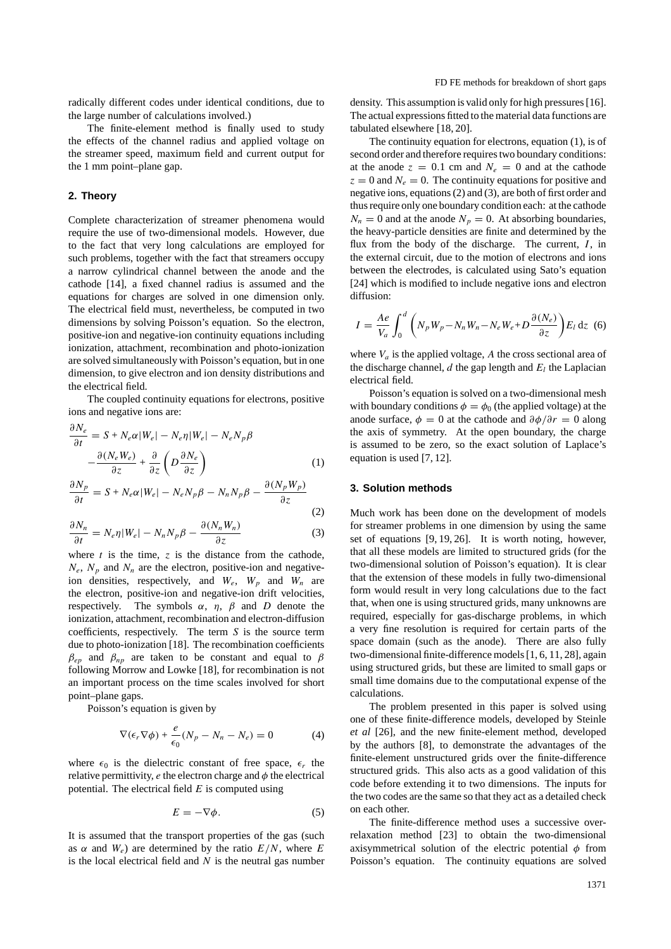radically different codes under identical conditions, due to the large number of calculations involved.)

The finite-element method is finally used to study the effects of the channel radius and applied voltage on the streamer speed, maximum field and current output for the 1 mm point–plane gap.

# **2. Theory**

Complete characterization of streamer phenomena would require the use of two-dimensional models. However, due to the fact that very long calculations are employed for such problems, together with the fact that streamers occupy a narrow cylindrical channel between the anode and the cathode [14], a fixed channel radius is assumed and the equations for charges are solved in one dimension only. The electrical field must, nevertheless, be computed in two dimensions by solving Poisson's equation. So the electron, positive-ion and negative-ion continuity equations including ionization, attachment, recombination and photo-ionization are solved simultaneously with Poisson's equation, but in one dimension, to give electron and ion density distributions and the electrical field.

The coupled continuity equations for electrons, positive ions and negative ions are:

$$
\frac{\partial N_e}{\partial t} = S + N_e \alpha |W_e| - N_e \eta |W_e| - N_e N_p \beta
$$

$$
- \frac{\partial (N_e W_e)}{\partial z} + \frac{\partial}{\partial z} \left( D \frac{\partial N_e}{\partial z} \right)
$$
(1)

$$
\frac{\partial N_p}{\partial t} = S + N_e \alpha |W_e| - N_e N_p \beta - N_n N_p \beta - \frac{\partial (N_p W_p)}{\partial z}
$$
\n(2)

$$
\frac{\partial N_n}{\partial t} = N_e \eta |W_e| - N_n N_p \beta - \frac{\partial (N_n W_n)}{\partial z}
$$
(3)

where  $t$  is the time,  $z$  is the distance from the cathode,  $N_e$ ,  $N_p$  and  $N_n$  are the electron, positive-ion and negativeion densities, respectively, and  $W_e$ ,  $W_p$  and  $W_n$  are the electron, positive-ion and negative-ion drift velocities, respectively. The symbols  $\alpha$ ,  $\eta$ ,  $\beta$  and *D* denote the ionization, attachment, recombination and electron-diffusion coefficients, respectively. The term *S* is the source term due to photo-ionization [18]. The recombination coefficients *βep* and *βnp* are taken to be constant and equal to *β* following Morrow and Lowke [18], for recombination is not an important process on the time scales involved for short point–plane gaps.

Poisson's equation is given by

$$
\nabla(\epsilon_r \nabla \phi) + \frac{e}{\epsilon_0} (N_p - N_n - N_e) = 0 \tag{4}
$$

where  $\epsilon_0$  is the dielectric constant of free space,  $\epsilon_r$  the relative permittivity,  $e$  the electron charge and  $\phi$  the electrical potential. The electrical field *E* is computed using

$$
E = -\nabla \phi. \tag{5}
$$

It is assumed that the transport properties of the gas (such as  $\alpha$  and  $W_e$ ) are determined by the ratio  $E/N$ , where *E* is the local electrical field and *N* is the neutral gas number density. This assumption is valid only for high pressures [16]. The actual expressions fitted to the material data functions are tabulated elsewhere [18, 20].

The continuity equation for electrons, equation (1), is of second order and therefore requires two boundary conditions: at the anode  $z = 0.1$  cm and  $N_e = 0$  and at the cathode  $z = 0$  and  $N_e = 0$ . The continuity equations for positive and negative ions, equations (2) and (3), are both of first order and thus require only one boundary condition each: at the cathode  $N_n = 0$  and at the anode  $N_p = 0$ . At absorbing boundaries, the heavy-particle densities are finite and determined by the flux from the body of the discharge. The current, *I*, in the external circuit, due to the motion of electrons and ions between the electrodes, is calculated using Sato's equation [24] which is modified to include negative ions and electron diffusion:

$$
I = \frac{Ae}{V_a} \int_0^d \left( N_p W_p - N_n W_n - N_e W_e + D \frac{\partial (N_e)}{\partial z} \right) E_l dz
$$
 (6)

where  $V_a$  is the applied voltage, A the cross sectional area of the discharge channel,  $d$  the gap length and  $E_l$  the Laplacian electrical field.

Poisson's equation is solved on a two-dimensional mesh with boundary conditions  $\phi = \phi_0$  (the applied voltage) at the anode surface,  $\phi = 0$  at the cathode and  $\partial \phi / \partial r = 0$  along the axis of symmetry. At the open boundary, the charge is assumed to be zero, so the exact solution of Laplace's equation is used [7, 12].

#### **3. Solution methods**

Much work has been done on the development of models for streamer problems in one dimension by using the same set of equations [9, 19, 26]. It is worth noting, however, that all these models are limited to structured grids (for the two-dimensional solution of Poisson's equation). It is clear that the extension of these models in fully two-dimensional form would result in very long calculations due to the fact that, when one is using structured grids, many unknowns are required, especially for gas-discharge problems, in which a very fine resolution is required for certain parts of the space domain (such as the anode). There are also fully two-dimensional finite-difference models [1, 6, 11, 28], again using structured grids, but these are limited to small gaps or small time domains due to the computational expense of the calculations.

The problem presented in this paper is solved using one of these finite-difference models, developed by Steinle *et al* [26], and the new finite-element method, developed by the authors [8], to demonstrate the advantages of the finite-element unstructured grids over the finite-difference structured grids. This also acts as a good validation of this code before extending it to two dimensions. The inputs for the two codes are the same so that they act as a detailed check on each other.

The finite-difference method uses a successive overrelaxation method [23] to obtain the two-dimensional axisymmetrical solution of the electric potential *φ* from Poisson's equation. The continuity equations are solved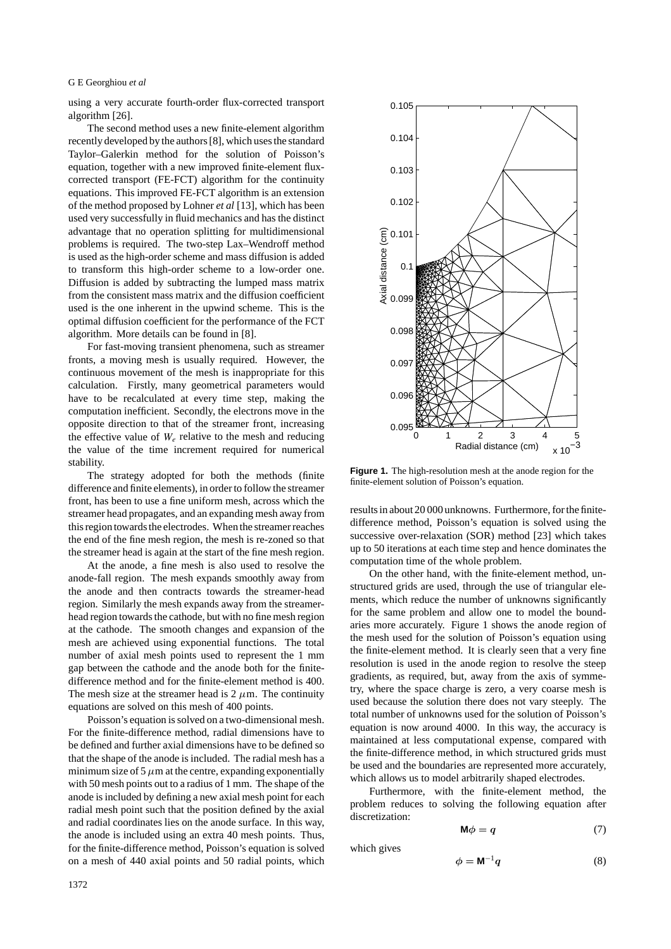#### G E Georghiou *et al*

using a very accurate fourth-order flux-corrected transport algorithm [26].

The second method uses a new finite-element algorithm recently developed by the authors [8], which uses the standard Taylor–Galerkin method for the solution of Poisson's equation, together with a new improved finite-element fluxcorrected transport (FE-FCT) algorithm for the continuity equations. This improved FE-FCT algorithm is an extension of the method proposed by Lohner *et al* [13], which has been used very successfully in fluid mechanics and has the distinct advantage that no operation splitting for multidimensional problems is required. The two-step Lax–Wendroff method is used as the high-order scheme and mass diffusion is added to transform this high-order scheme to a low-order one. Diffusion is added by subtracting the lumped mass matrix from the consistent mass matrix and the diffusion coefficient used is the one inherent in the upwind scheme. This is the optimal diffusion coefficient for the performance of the FCT algorithm. More details can be found in [8].

For fast-moving transient phenomena, such as streamer fronts, a moving mesh is usually required. However, the continuous movement of the mesh is inappropriate for this calculation. Firstly, many geometrical parameters would have to be recalculated at every time step, making the computation inefficient. Secondly, the electrons move in the opposite direction to that of the streamer front, increasing the effective value of  $W_e$  relative to the mesh and reducing the value of the time increment required for numerical stability.

The strategy adopted for both the methods (finite difference and finite elements), in order to follow the streamer front, has been to use a fine uniform mesh, across which the streamer head propagates, and an expanding mesh away from this region towards the electrodes. When the streamer reaches the end of the fine mesh region, the mesh is re-zoned so that the streamer head is again at the start of the fine mesh region.

At the anode, a fine mesh is also used to resolve the anode-fall region. The mesh expands smoothly away from the anode and then contracts towards the streamer-head region. Similarly the mesh expands away from the streamerhead region towards the cathode, but with no fine mesh region at the cathode. The smooth changes and expansion of the mesh are achieved using exponential functions. The total number of axial mesh points used to represent the 1 mm gap between the cathode and the anode both for the finitedifference method and for the finite-element method is 400. The mesh size at the streamer head is  $2 \mu m$ . The continuity equations are solved on this mesh of 400 points.

Poisson's equation is solved on a two-dimensional mesh. For the finite-difference method, radial dimensions have to be defined and further axial dimensions have to be defined so that the shape of the anode is included. The radial mesh has a minimum size of  $5 \mu$ m at the centre, expanding exponentially with 50 mesh points out to a radius of 1 mm. The shape of the anode is included by defining a new axial mesh point for each radial mesh point such that the position defined by the axial and radial coordinates lies on the anode surface. In this way, the anode is included using an extra 40 mesh points. Thus, for the finite-difference method, Poisson's equation is solved on a mesh of 440 axial points and 50 radial points, which



**Figure 1.** The high-resolution mesh at the anode region for the finite-element solution of Poisson's equation.

results in about 20 000 unknowns. Furthermore, for the finitedifference method, Poisson's equation is solved using the successive over-relaxation (SOR) method [23] which takes up to 50 iterations at each time step and hence dominates the computation time of the whole problem.

On the other hand, with the finite-element method, unstructured grids are used, through the use of triangular elements, which reduce the number of unknowns significantly for the same problem and allow one to model the boundaries more accurately. Figure 1 shows the anode region of the mesh used for the solution of Poisson's equation using the finite-element method. It is clearly seen that a very fine resolution is used in the anode region to resolve the steep gradients, as required, but, away from the axis of symmetry, where the space charge is zero, a very coarse mesh is used because the solution there does not vary steeply. The total number of unknowns used for the solution of Poisson's equation is now around 4000. In this way, the accuracy is maintained at less computational expense, compared with the finite-difference method, in which structured grids must be used and the boundaries are represented more accurately, which allows us to model arbitrarily shaped electrodes.

Furthermore, with the finite-element method, the problem reduces to solving the following equation after discretization:

$$
M\phi = q \tag{7}
$$

which gives

$$
\phi = \mathbf{M}^{-1} \mathbf{q} \tag{8}
$$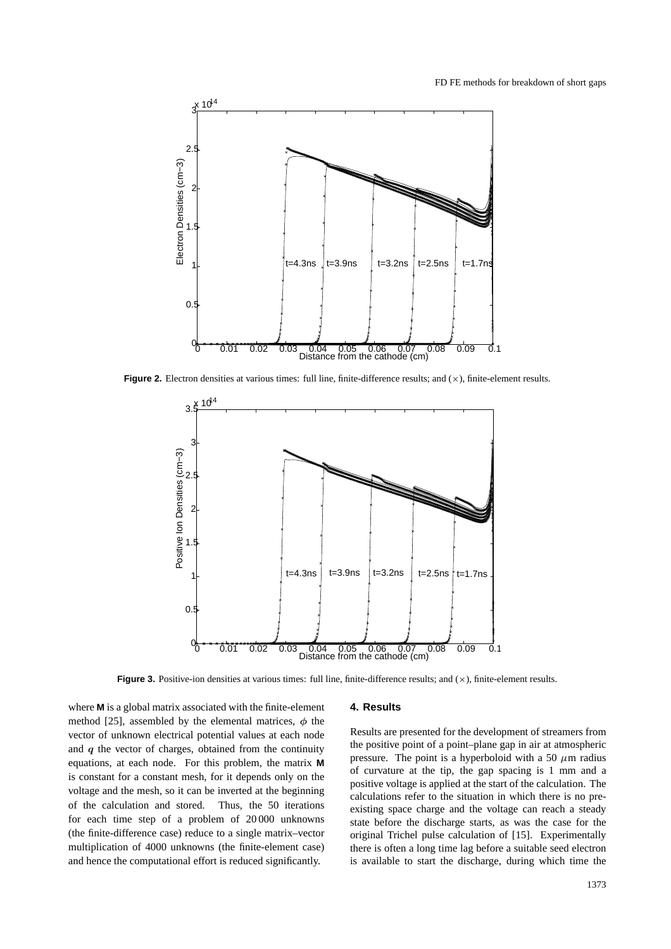

**Figure 2.** Electron densities at various times: full line, finite-difference results; and  $(\times)$ , finite-element results.



**Figure 3.** Positive-ion densities at various times: full line, finite-difference results; and  $(x)$ , finite-element results.

where **M** is a global matrix associated with the finite-element method [25], assembled by the elemental matrices,  $\phi$  the vector of unknown electrical potential values at each node and *q* the vector of charges, obtained from the continuity equations, at each node. For this problem, the matrix **M** is constant for a constant mesh, for it depends only on the voltage and the mesh, so it can be inverted at the beginning of the calculation and stored. Thus, the 50 iterations for each time step of a problem of 20 000 unknowns (the finite-difference case) reduce to a single matrix–vector multiplication of 4000 unknowns (the finite-element case) and hence the computational effort is reduced significantly.

#### **4. Results**

Results are presented for the development of streamers from the positive point of a point–plane gap in air at atmospheric pressure. The point is a hyperboloid with a 50  $\mu$ m radius of curvature at the tip, the gap spacing is 1 mm and a positive voltage is applied at the start of the calculation. The calculations refer to the situation in which there is no preexisting space charge and the voltage can reach a steady state before the discharge starts, as was the case for the original Trichel pulse calculation of [15]. Experimentally there is often a long time lag before a suitable seed electron is available to start the discharge, during which time the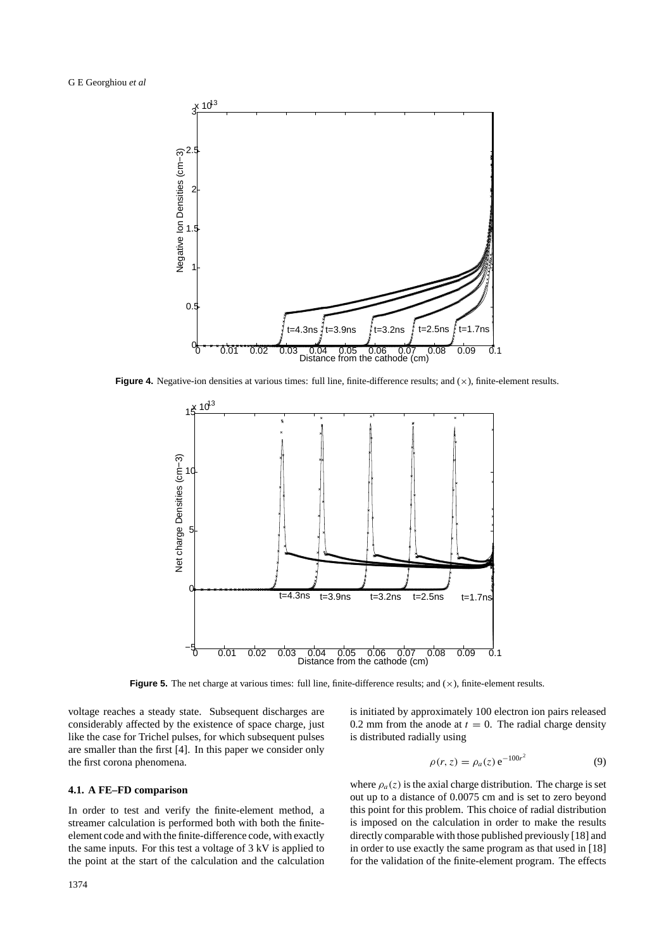

**Figure 4.** Negative-ion densities at various times: full line, finite-difference results; and ( $\times$ ), finite-element results.



**Figure 5.** The net charge at various times: full line, finite-difference results; and ( $\times$ ), finite-element results.

voltage reaches a steady state. Subsequent discharges are considerably affected by the existence of space charge, just like the case for Trichel pulses, for which subsequent pulses are smaller than the first [4]. In this paper we consider only the first corona phenomena.

### **4.1. A FE–FD comparison**

In order to test and verify the finite-element method, a streamer calculation is performed both with both the finiteelement code and with the finite-difference code, with exactly the same inputs. For this test a voltage of 3 kV is applied to the point at the start of the calculation and the calculation is initiated by approximately 100 electron ion pairs released 0.2 mm from the anode at  $t = 0$ . The radial charge density is distributed radially using

$$
\rho(r, z) = \rho_a(z) e^{-100r^2}
$$
 (9)

where  $\rho_a(z)$  is the axial charge distribution. The charge is set out up to a distance of 0.0075 cm and is set to zero beyond this point for this problem. This choice of radial distribution is imposed on the calculation in order to make the results directly comparable with those published previously [18] and in order to use exactly the same program as that used in [18] for the validation of the finite-element program. The effects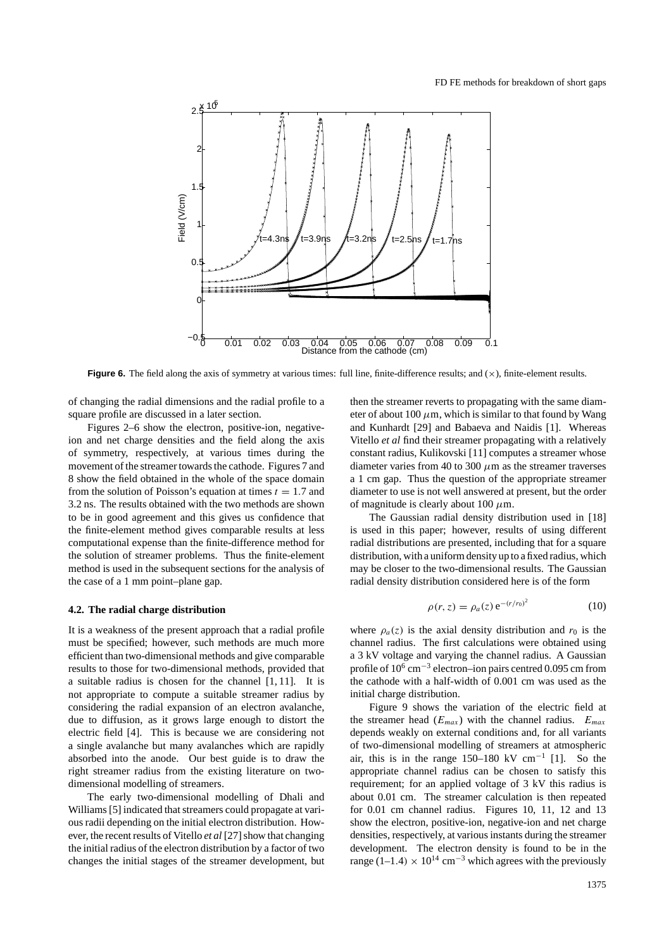

**Figure 6.** The field along the axis of symmetry at various times: full line, finite-difference results; and  $(\times)$ , finite-element results.

of changing the radial dimensions and the radial profile to a square profile are discussed in a later section.

Figures 2–6 show the electron, positive-ion, negativeion and net charge densities and the field along the axis of symmetry, respectively, at various times during the movement of the streamer towards the cathode. Figures 7 and 8 show the field obtained in the whole of the space domain from the solution of Poisson's equation at times  $t = 1.7$  and 3.2 ns. The results obtained with the two methods are shown to be in good agreement and this gives us confidence that the finite-element method gives comparable results at less computational expense than the finite-difference method for the solution of streamer problems. Thus the finite-element method is used in the subsequent sections for the analysis of the case of a 1 mm point–plane gap.

#### **4.2. The radial charge distribution**

It is a weakness of the present approach that a radial profile must be specified; however, such methods are much more efficient than two-dimensional methods and give comparable results to those for two-dimensional methods, provided that a suitable radius is chosen for the channel [1, 11]. It is not appropriate to compute a suitable streamer radius by considering the radial expansion of an electron avalanche, due to diffusion, as it grows large enough to distort the electric field [4]. This is because we are considering not a single avalanche but many avalanches which are rapidly absorbed into the anode. Our best guide is to draw the right streamer radius from the existing literature on twodimensional modelling of streamers.

The early two-dimensional modelling of Dhali and Williams [5] indicated that streamers could propagate at various radii depending on the initial electron distribution. However, the recent results of Vitello *et al* [27] show that changing the initial radius of the electron distribution by a factor of two changes the initial stages of the streamer development, but then the streamer reverts to propagating with the same diameter of about 100  $\mu$ m, which is similar to that found by Wang and Kunhardt [29] and Babaeva and Naidis [1]. Whereas Vitello *et al* find their streamer propagating with a relatively constant radius, Kulikovski [11] computes a streamer whose diameter varies from 40 to 300 *µ*m as the streamer traverses a 1 cm gap. Thus the question of the appropriate streamer diameter to use is not well answered at present, but the order of magnitude is clearly about 100  $\mu$ m.

The Gaussian radial density distribution used in [18] is used in this paper; however, results of using different radial distributions are presented, including that for a square distribution, with a uniform density up to a fixed radius, which may be closer to the two-dimensional results. The Gaussian radial density distribution considered here is of the form

$$
\rho(r, z) = \rho_a(z) e^{-(r/r_0)^2}
$$
 (10)

where  $\rho_a(z)$  is the axial density distribution and  $r_0$  is the channel radius. The first calculations were obtained using a 3 kV voltage and varying the channel radius. A Gaussian profile of  $10^6$  cm<sup>-3</sup> electron–ion pairs centred 0.095 cm from the cathode with a half-width of 0.001 cm was used as the initial charge distribution.

Figure 9 shows the variation of the electric field at the streamer head  $(E_{max})$  with the channel radius.  $E_{max}$ depends weakly on external conditions and, for all variants of two-dimensional modelling of streamers at atmospheric air, this is in the range 150–180 kV cm<sup>-1</sup> [1]. So the appropriate channel radius can be chosen to satisfy this requirement; for an applied voltage of 3 kV this radius is about 0.01 cm. The streamer calculation is then repeated for 0.01 cm channel radius. Figures 10, 11, 12 and 13 show the electron, positive-ion, negative-ion and net charge densities, respectively, at various instants during the streamer development. The electron density is found to be in the range (1–1.4) ×  $10^{14}$  cm<sup>-3</sup> which agrees with the previously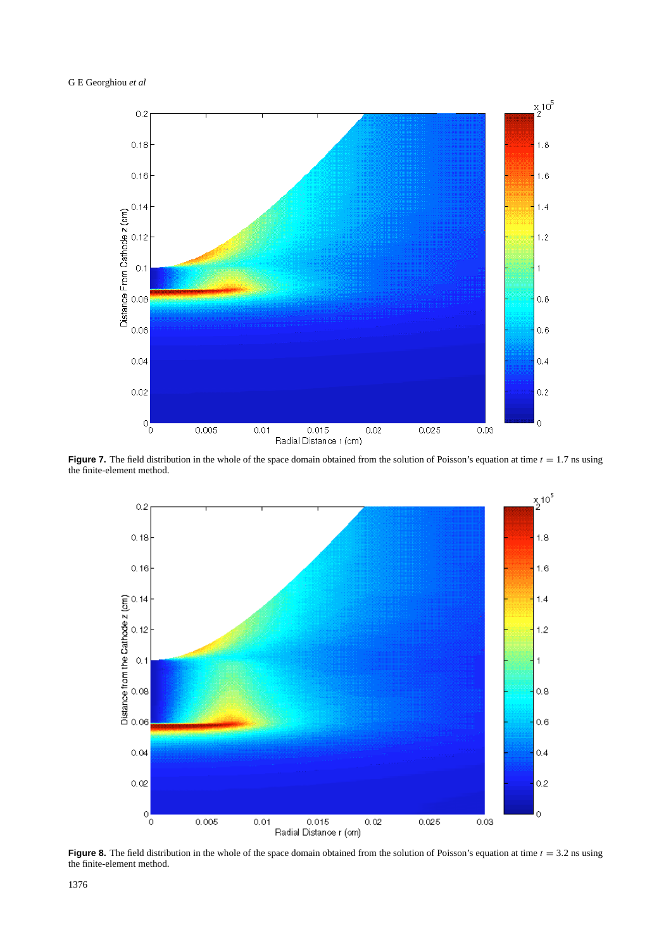

**Figure 7.** The field distribution in the whole of the space domain obtained from the solution of Poisson's equation at time  $t = 1.7$  ns using the finite-element method.



**Figure 8.** The field distribution in the whole of the space domain obtained from the solution of Poisson's equation at time  $t = 3.2$  ns using the finite-element method.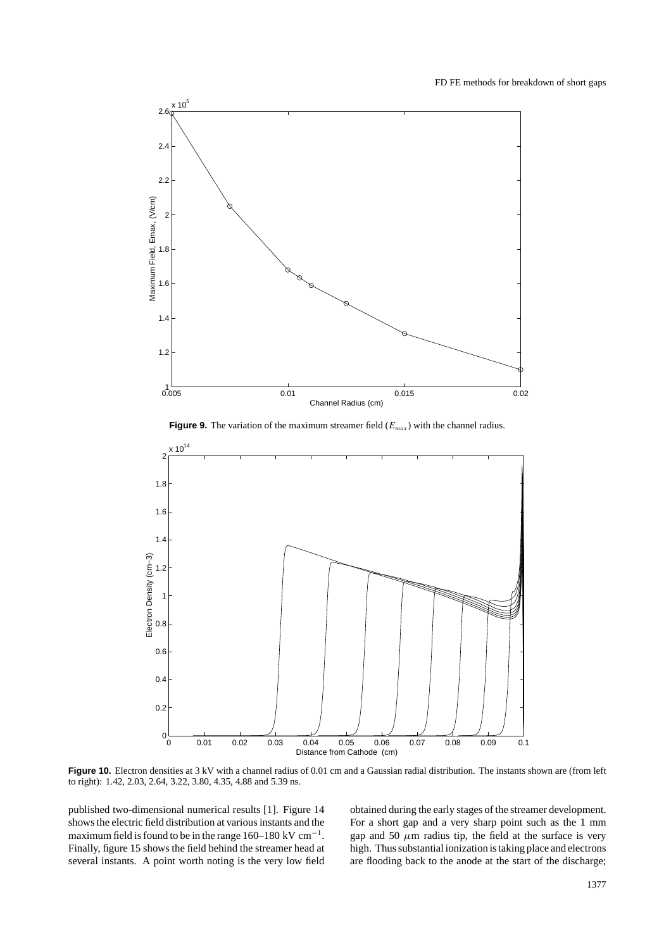





**Figure 10.** Electron densities at 3 kV with a channel radius of 0.01 cm and a Gaussian radial distribution. The instants shown are (from left to right): 1.42, 2.03, 2.64, 3.22, 3.80, 4.35, 4.88 and 5.39 ns.

published two-dimensional numerical results [1]. Figure 14 shows the electric field distribution at various instants and the maximum field is found to be in the range 160–180 kV cm<sup>-1</sup>. Finally, figure 15 shows the field behind the streamer head at several instants. A point worth noting is the very low field

obtained during the early stages of the streamer development. For a short gap and a very sharp point such as the 1 mm gap and 50  $\mu$ m radius tip, the field at the surface is very high. Thus substantial ionization is taking place and electrons are flooding back to the anode at the start of the discharge;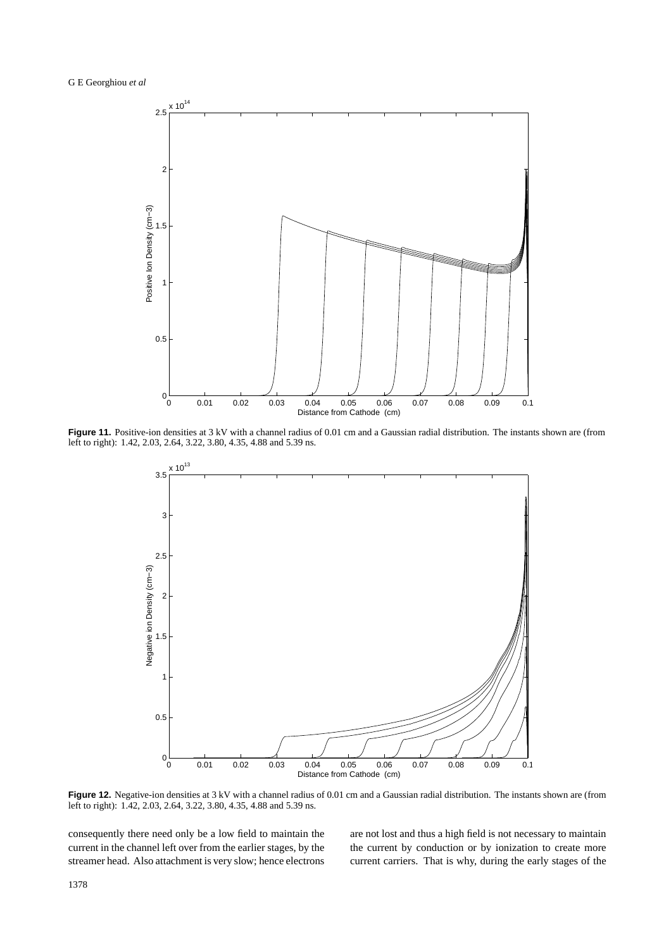

Figure 11. Positive-ion densities at 3 kV with a channel radius of 0.01 cm and a Gaussian radial distribution. The instants shown are (from left to right): 1.42, 2.03, 2.64, 3.22, 3.80, 4.35, 4.88 and 5.39 ns.



Figure 12. Negative-ion densities at 3 kV with a channel radius of 0.01 cm and a Gaussian radial distribution. The instants shown are (from left to right): 1.42, 2.03, 2.64, 3.22, 3.80, 4.35, 4.88 and 5.39 ns.

consequently there need only be a low field to maintain the current in the channel left over from the earlier stages, by the streamer head. Also attachment is very slow; hence electrons are not lost and thus a high field is not necessary to maintain the current by conduction or by ionization to create more current carriers. That is why, during the early stages of the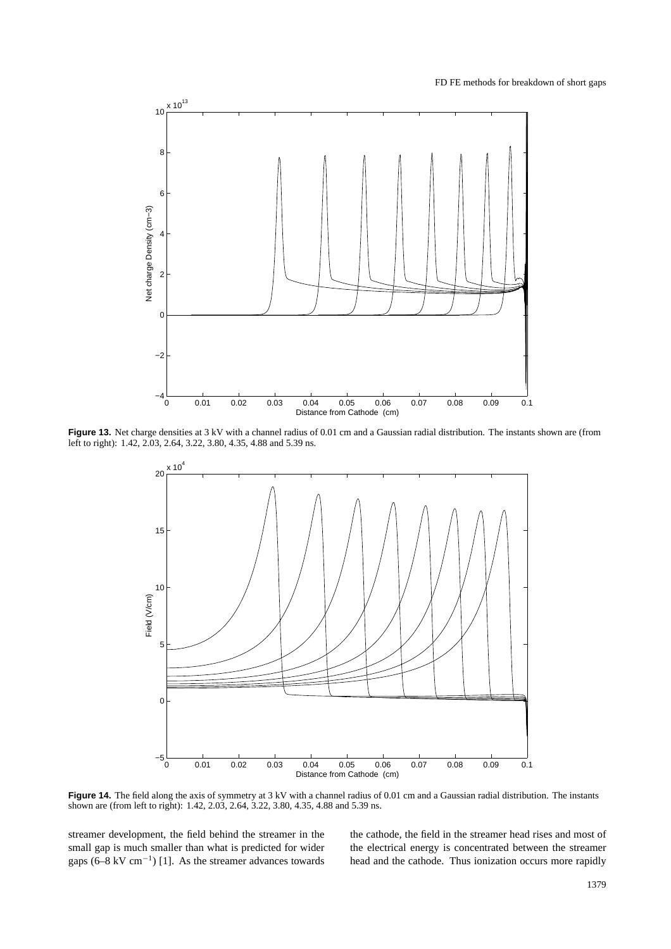

**Figure 13.** Net charge densities at 3 kV with a channel radius of 0.01 cm and a Gaussian radial distribution. The instants shown are (from left to right): 1.42, 2.03, 2.64, 3.22, 3.80, 4.35, 4.88 and 5.39 ns.



**Figure 14.** The field along the axis of symmetry at 3 kV with a channel radius of 0.01 cm and a Gaussian radial distribution. The instants shown are (from left to right): 1.42, 2.03, 2.64, 3.22, 3.80, 4.35, 4.88 and 5.39 ns.

streamer development, the field behind the streamer in the small gap is much smaller than what is predicted for wider gaps  $(6–8 \text{ kV cm}^{-1})$  [1]. As the streamer advances towards the cathode, the field in the streamer head rises and most of the electrical energy is concentrated between the streamer head and the cathode. Thus ionization occurs more rapidly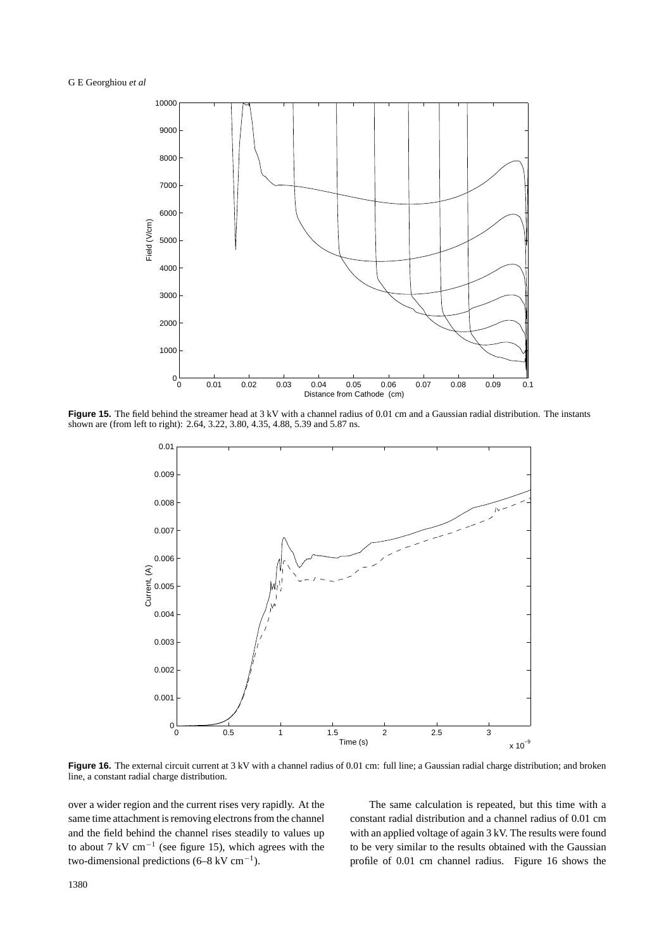

**Figure 15.** The field behind the streamer head at 3 kV with a channel radius of 0.01 cm and a Gaussian radial distribution. The instants shown are (from left to right): 2.64, 3.22, 3.80, 4.35, 4.88, 5.39 and 5.87 ns.



**Figure 16.** The external circuit current at 3 kV with a channel radius of 0.01 cm: full line; a Gaussian radial charge distribution; and broken line, a constant radial charge distribution.

over a wider region and the current rises very rapidly. At the same time attachment is removing electrons from the channel and the field behind the channel rises steadily to values up to about 7 kV cm<sup>-1</sup> (see figure 15), which agrees with the two-dimensional predictions (6–8 kV cm<sup>-1</sup>).

The same calculation is repeated, but this time with a constant radial distribution and a channel radius of 0.01 cm with an applied voltage of again 3 kV. The results were found to be very similar to the results obtained with the Gaussian profile of 0.01 cm channel radius. Figure 16 shows the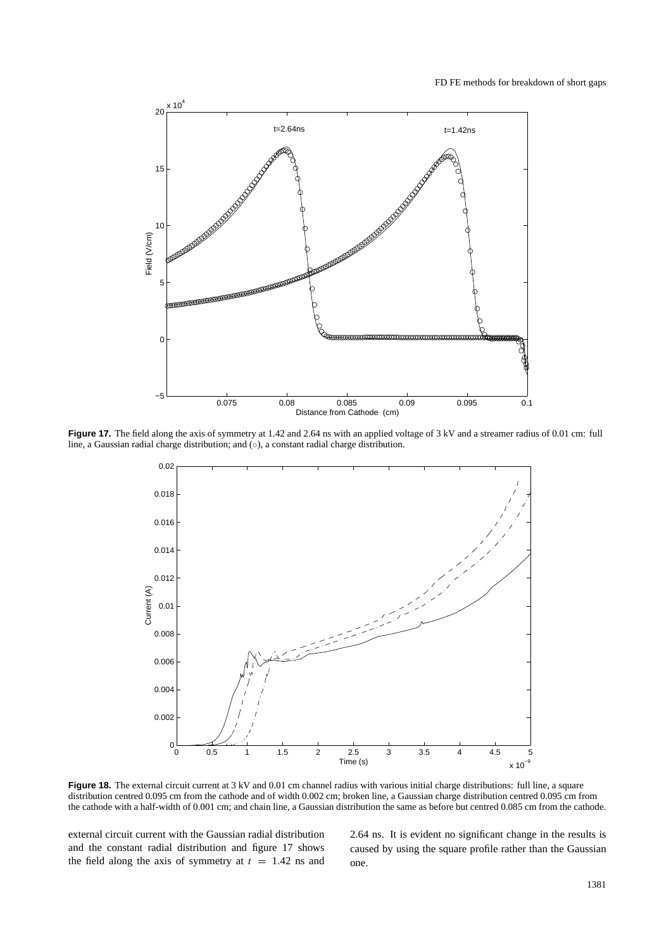

**Figure 17.** The field along the axis of symmetry at 1.42 and 2.64 ns with an applied voltage of 3 kV and a streamer radius of 0.01 cm: full line, a Gaussian radial charge distribution; and (◦), a constant radial charge distribution.



Figure 18. The external circuit current at 3 kV and 0.01 cm channel radius with various initial charge distributions: full line, a square distribution centred 0.095 cm from the cathode and of width 0.002 cm; broken line, a Gaussian charge distribution centred 0.095 cm from the cathode with a half-width of 0.001 cm; and chain line, a Gaussian distribution the same as before but centred 0.085 cm from the cathode.

external circuit current with the Gaussian radial distribution and the constant radial distribution and figure 17 shows the field along the axis of symmetry at  $t = 1.42$  ns and 2.64 ns. It is evident no significant change in the results is caused by using the square profile rather than the Gaussian one.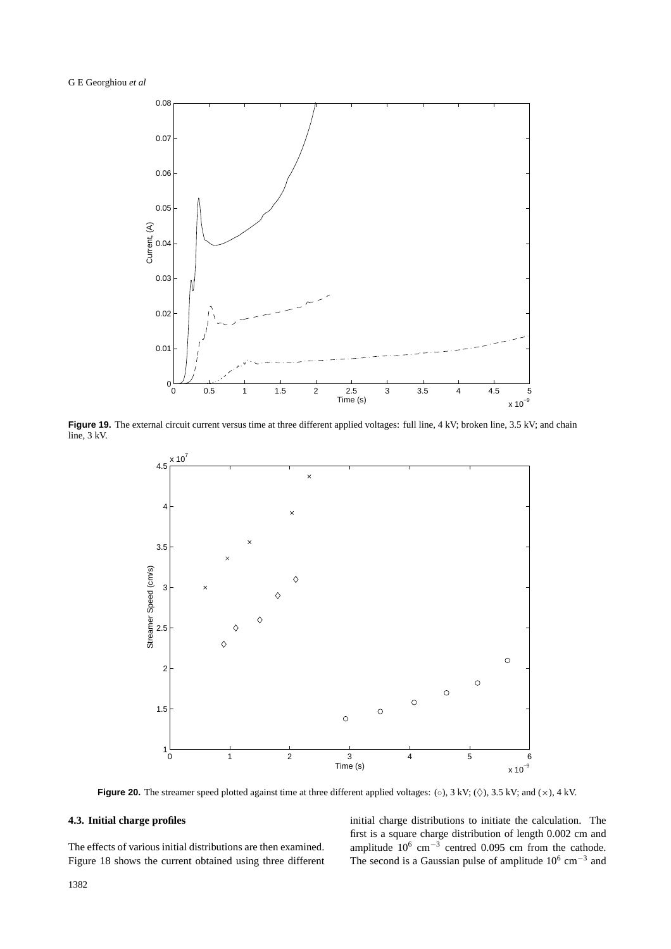

**Figure 19.** The external circuit current versus time at three different applied voltages: full line, 4 kV; broken line, 3.5 kV; and chain line, 3 kV.



**Figure 20.** The streamer speed plotted against time at three different applied voltages:  $(\circ)$ , 3 kV;  $(\diamond)$ , 3.5 kV; and  $(\times)$ , 4 kV.

# **4.3. Initial charge profiles**

The effects of various initial distributions are then examined. Figure 18 shows the current obtained using three different initial charge distributions to initiate the calculation. The first is a square charge distribution of length 0.002 cm and amplitude  $10^6$  cm<sup>-3</sup> centred 0.095 cm from the cathode. The second is a Gaussian pulse of amplitude  $10^6$  cm<sup>-3</sup> and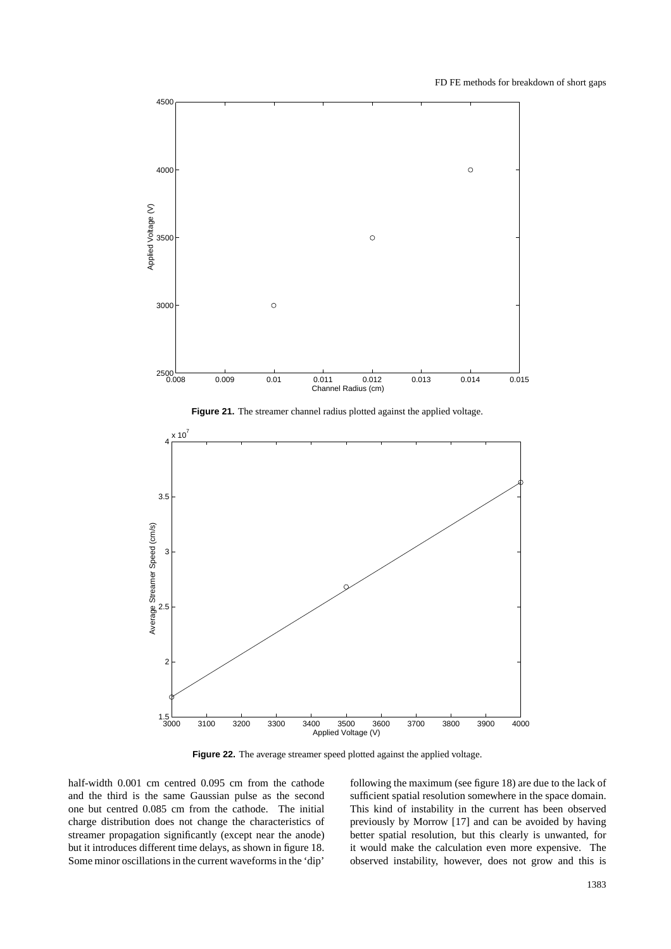



**Figure 22.** The average streamer speed plotted against the applied voltage.

half-width 0.001 cm centred 0.095 cm from the cathode and the third is the same Gaussian pulse as the second one but centred 0.085 cm from the cathode. The initial charge distribution does not change the characteristics of streamer propagation significantly (except near the anode) but it introduces different time delays, as shown in figure 18. Some minor oscillations in the current waveforms in the 'dip'

following the maximum (see figure 18) are due to the lack of sufficient spatial resolution somewhere in the space domain. This kind of instability in the current has been observed previously by Morrow [17] and can be avoided by having better spatial resolution, but this clearly is unwanted, for it would make the calculation even more expensive. The observed instability, however, does not grow and this is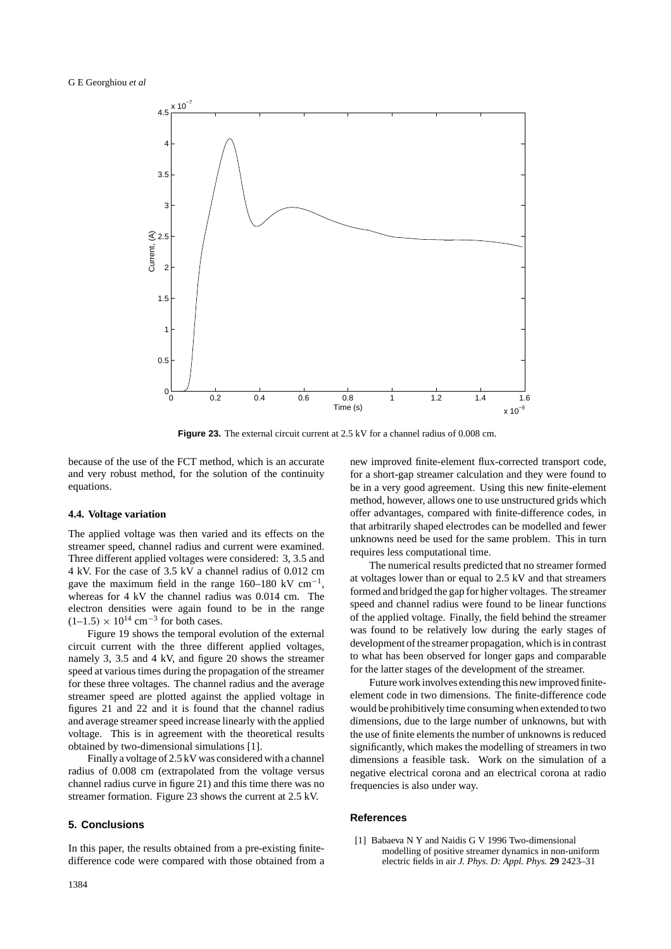

Figure 23. The external circuit current at 2.5 kV for a channel radius of 0.008 cm.

because of the use of the FCT method, which is an accurate and very robust method, for the solution of the continuity equations.

### **4.4. Voltage variation**

The applied voltage was then varied and its effects on the streamer speed, channel radius and current were examined. Three different applied voltages were considered: 3, 3.5 and 4 kV. For the case of 3.5 kV a channel radius of 0.012 cm gave the maximum field in the range 160–180 kV cm<sup>-1</sup>, whereas for 4 kV the channel radius was 0.014 cm. The electron densities were again found to be in the range  $(1-1.5) \times 10^{14}$  cm<sup>-3</sup> for both cases.

Figure 19 shows the temporal evolution of the external circuit current with the three different applied voltages, namely 3, 3.5 and 4 kV, and figure 20 shows the streamer speed at various times during the propagation of the streamer for these three voltages. The channel radius and the average streamer speed are plotted against the applied voltage in figures 21 and 22 and it is found that the channel radius and average streamer speed increase linearly with the applied voltage. This is in agreement with the theoretical results obtained by two-dimensional simulations [1].

Finally a voltage of 2.5 kV was considered with a channel radius of 0.008 cm (extrapolated from the voltage versus channel radius curve in figure 21) and this time there was no streamer formation. Figure 23 shows the current at 2.5 kV.

#### **5. Conclusions**

In this paper, the results obtained from a pre-existing finitedifference code were compared with those obtained from a new improved finite-element flux-corrected transport code, for a short-gap streamer calculation and they were found to be in a very good agreement. Using this new finite-element method, however, allows one to use unstructured grids which offer advantages, compared with finite-difference codes, in that arbitrarily shaped electrodes can be modelled and fewer unknowns need be used for the same problem. This in turn requires less computational time.

The numerical results predicted that no streamer formed at voltages lower than or equal to 2.5 kV and that streamers formed and bridged the gap for higher voltages. The streamer speed and channel radius were found to be linear functions of the applied voltage. Finally, the field behind the streamer was found to be relatively low during the early stages of development of the streamer propagation, which is in contrast to what has been observed for longer gaps and comparable for the latter stages of the development of the streamer.

Future work involves extending this new improved finiteelement code in two dimensions. The finite-difference code would be prohibitively time consuming when extended to two dimensions, due to the large number of unknowns, but with the use of finite elements the number of unknowns is reduced significantly, which makes the modelling of streamers in two dimensions a feasible task. Work on the simulation of a negative electrical corona and an electrical corona at radio frequencies is also under way.

### **References**

[1] Babaeva N Y and Naidis G V 1996 Two-dimensional modelling of positive streamer dynamics in non-uniform electric fields in air *J. Phys. D: Appl. Phys.* **29** 2423–31